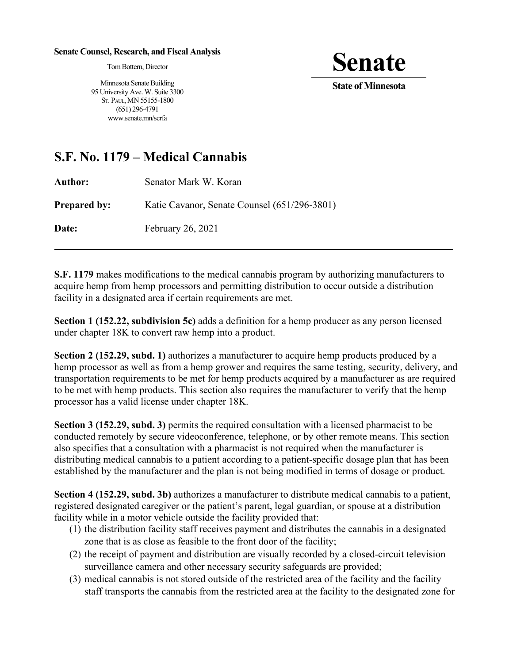## **Senate Counsel, Research, and Fiscal Analysis**

Tom Bottern, Director

**Senate**<br>State of Minnesota

Minnesota Senate Building 95 University Ave. W. Suite 3300 ST. PAUL, MN 55155-1800 (651) 296-4791 www.senate.mn/scrfa

## **S.F. No. 1179 – Medical Cannabis**

| Author:             | Senator Mark W. Koran                        |
|---------------------|----------------------------------------------|
| <b>Prepared by:</b> | Katie Cavanor, Senate Counsel (651/296-3801) |
| <b>Date:</b>        | February 26, 2021                            |

**S.F. 1179** makes modifications to the medical cannabis program by authorizing manufacturers to acquire hemp from hemp processors and permitting distribution to occur outside a distribution facility in a designated area if certain requirements are met.

**Section 1 (152.22, subdivision 5c)** adds a definition for a hemp producer as any person licensed under chapter 18K to convert raw hemp into a product.

**Section 2 (152.29, subd. 1)** authorizes a manufacturer to acquire hemp products produced by a hemp processor as well as from a hemp grower and requires the same testing, security, delivery, and transportation requirements to be met for hemp products acquired by a manufacturer as are required to be met with hemp products. This section also requires the manufacturer to verify that the hemp processor has a valid license under chapter 18K.

**Section 3 (152.29, subd. 3)** permits the required consultation with a licensed pharmacist to be conducted remotely by secure videoconference, telephone, or by other remote means. This section also specifies that a consultation with a pharmacist is not required when the manufacturer is distributing medical cannabis to a patient according to a patient-specific dosage plan that has been established by the manufacturer and the plan is not being modified in terms of dosage or product.

**Section 4 (152.29, subd. 3b)** authorizes a manufacturer to distribute medical cannabis to a patient, registered designated caregiver or the patient's parent, legal guardian, or spouse at a distribution facility while in a motor vehicle outside the facility provided that:

- (1) the distribution facility staff receives payment and distributes the cannabis in a designated zone that is as close as feasible to the front door of the facility;
- (2) the receipt of payment and distribution are visually recorded by a closed-circuit television surveillance camera and other necessary security safeguards are provided;
- (3) medical cannabis is not stored outside of the restricted area of the facility and the facility staff transports the cannabis from the restricted area at the facility to the designated zone for